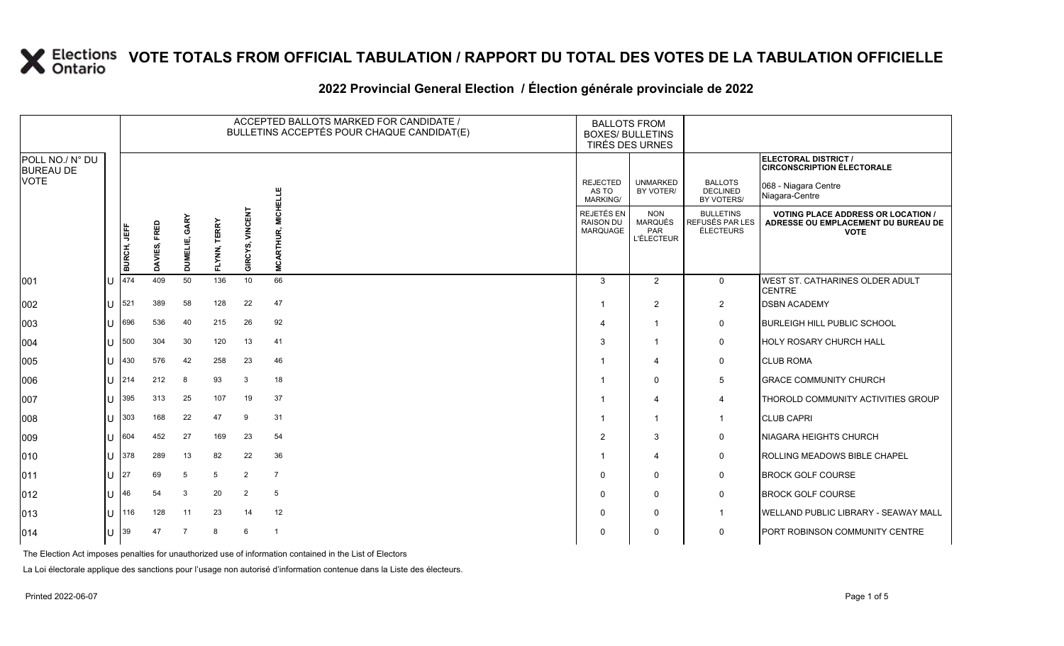### **2022 Provincial General Election / Élection générale provinciale de 2022**

|                                     |              |             | ACCEPTED BALLOTS MARKED FOR CANDIDATE /<br><b>BALLOTS FROM</b><br>BULLETINS ACCEPTÉS POUR CHAQUE CANDIDAT(E)<br><b>BOXES/ BULLETINS</b><br>TIRÉS DES URNES |                    |                        |                    |                                     |                                                   |                                                                 |                                                  |                                                                                                 |
|-------------------------------------|--------------|-------------|------------------------------------------------------------------------------------------------------------------------------------------------------------|--------------------|------------------------|--------------------|-------------------------------------|---------------------------------------------------|-----------------------------------------------------------------|--------------------------------------------------|-------------------------------------------------------------------------------------------------|
| POLL NO./ N° DU<br><b>BUREAU DE</b> |              |             |                                                                                                                                                            |                    |                        |                    |                                     |                                                   |                                                                 |                                                  | ELECTORAL DISTRICT /<br><b>CIRCONSCRIPTION ÉLECTORALE</b>                                       |
| VOTE                                |              |             |                                                                                                                                                            |                    |                        |                    |                                     | <b>REJECTED</b><br>AS TO<br><b>MARKING/</b>       | <b>UNMARKED</b><br>BY VOTER/                                    | <b>BALLOTS</b><br>DECLINED<br>BY VOTERS/         | 068 - Niagara Centre<br>Niagara-Centre                                                          |
|                                     |              | BURCH, JEFF | FRED<br>DAVIES,                                                                                                                                            | GARY<br>当<br>iming | <b>TERRY</b><br>FLYNN, | VINCENT<br>GIRCYS, | <b>MICHELLE</b><br><b>MCARTHUR,</b> | REJETÉS EN<br><b>RAISON DU</b><br><b>MARQUAGE</b> | <b>NON</b><br><b>MARQUÉS</b><br><b>PAR</b><br><b>L'ÉLECTEUR</b> | <b>BULLETINS</b><br>REFUSÉS PAR LES<br>ÉLECTEURS | <b>VOTING PLACE ADDRESS OR LOCATION /</b><br>ADRESSE OU EMPLACEMENT DU BUREAU DE<br><b>VOTE</b> |
| 001                                 |              | 474         | 409                                                                                                                                                        | 50                 | 136                    | 10                 | 66                                  | 3                                                 | $\overline{2}$                                                  | 0                                                | WEST ST. CATHARINES OLDER ADULT<br><b>CENTRE</b>                                                |
| 002                                 |              | 521         | 389                                                                                                                                                        | 58                 | 128                    | 22                 | 47                                  | -1                                                | $\overline{2}$                                                  | $\overline{2}$                                   | <b>DSBN ACADEMY</b>                                                                             |
| 003                                 |              | 696         | 536                                                                                                                                                        | 40                 | 215                    | 26                 | 92                                  | $\overline{4}$                                    | $\mathbf{1}$                                                    | $\mathbf 0$                                      | <b>BURLEIGH HILL PUBLIC SCHOOL</b>                                                              |
| 004                                 |              | 500         | 304                                                                                                                                                        | 30                 | 120                    | 13                 | 41                                  | 3                                                 | $\mathbf{1}$                                                    | 0                                                | <b>HOLY ROSARY CHURCH HALL</b>                                                                  |
| 005                                 | $\mathbf{L}$ | 430         | 576                                                                                                                                                        | 42                 | 258                    | 23                 | 46                                  | 1                                                 | 4                                                               | 0                                                | <b>CLUB ROMA</b>                                                                                |
| 006                                 |              | 214         | 212                                                                                                                                                        | 8                  | 93                     | 3                  | 18                                  | -1                                                | $\Omega$                                                        | 5                                                | <b>GRACE COMMUNITY CHURCH</b>                                                                   |
| 007                                 |              | 395         | 313                                                                                                                                                        | 25                 | 107                    | 19                 | 37                                  |                                                   | 4                                                               | 4                                                | THOROLD COMMUNITY ACTIVITIES GROUP                                                              |
| 008                                 | $\mathbf{L}$ | 303         | 168                                                                                                                                                        | 22                 | 47                     | 9                  | 31                                  | -1                                                | $\mathbf{1}$                                                    | $\mathbf{1}$                                     | <b>CLUB CAPRI</b>                                                                               |
| 009                                 |              | 604         | 452                                                                                                                                                        | 27                 | 169                    | 23                 | 54                                  | 2                                                 | 3                                                               | $\mathbf 0$                                      | <b>NIAGARA HEIGHTS CHURCH</b>                                                                   |
| 010                                 | $\mathbf{U}$ | 378         | 289                                                                                                                                                        | 13                 | 82                     | 22                 | 36                                  | -1                                                | 4                                                               | 0                                                | ROLLING MEADOWS BIBLE CHAPEL                                                                    |
| 011                                 | $\mathbf{U}$ | 27          | 69                                                                                                                                                         | 5                  | 5                      | 2                  | $\overline{7}$                      | $\Omega$                                          | $\Omega$                                                        | 0                                                | <b>BROCK GOLF COURSE</b>                                                                        |
| 012                                 | $\mathbf{H}$ | 46          | 54                                                                                                                                                         | 3                  | 20                     | 2                  | $5\phantom{.0}$                     | $\mathbf{0}$                                      | $\mathbf{0}$                                                    | $\mathbf 0$                                      | <b>BROCK GOLF COURSE</b>                                                                        |
| 013                                 | $\mathbf{L}$ | 116         | 128                                                                                                                                                        | 11                 | 23                     | 14                 | 12                                  | $\Omega$                                          | $\mathbf{0}$                                                    | $\overline{1}$                                   | <b>WELLAND PUBLIC LIBRARY - SEAWAY MALL</b>                                                     |
| 014                                 |              | 39          | 47                                                                                                                                                         | $\overline{7}$     | 8                      | 6                  | $\overline{1}$                      | 0                                                 | $\Omega$                                                        | 0                                                | PORT ROBINSON COMMUNITY CENTRE                                                                  |

The Election Act imposes penalties for unauthorized use of information contained in the List of Electors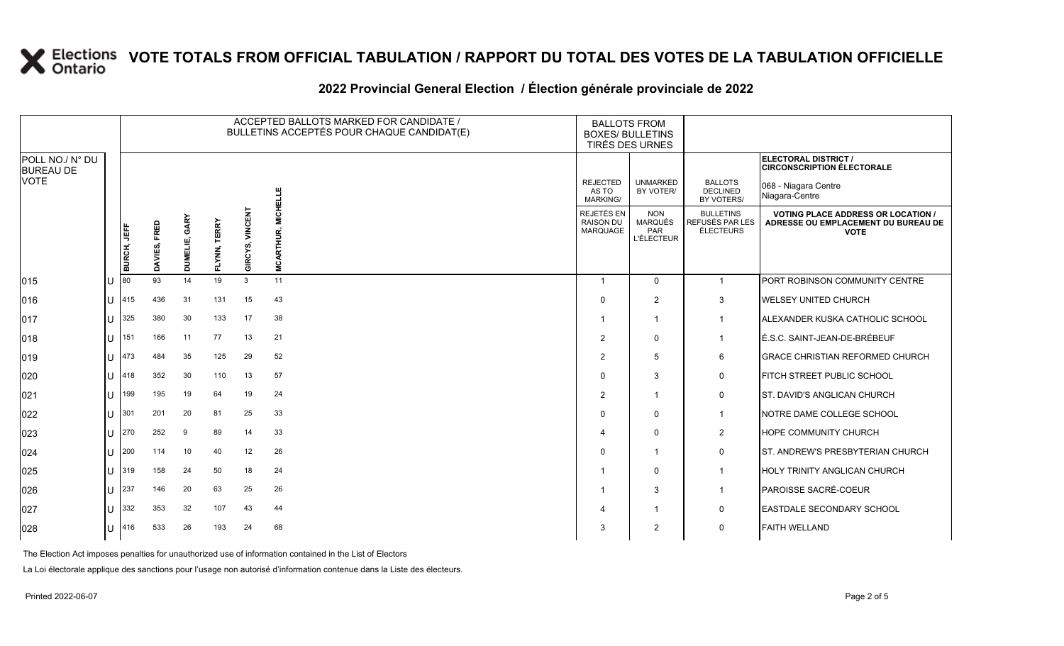### **2022 Provincial General Election / Élection générale provinciale de 2022**

|                                     |        |                    |              |                  |                        |                   | ACCEPTED BALLOTS MARKED FOR CANDIDATE /<br>BULLETINS ACCEPTÉS POUR CHAQUE CANDIDAT(E) | <b>BALLOTS FROM</b><br><b>BOXES/ BULLETINS</b><br>TIRÉS DES URNES |                                                          |                                                  |                                                                                                 |
|-------------------------------------|--------|--------------------|--------------|------------------|------------------------|-------------------|---------------------------------------------------------------------------------------|-------------------------------------------------------------------|----------------------------------------------------------|--------------------------------------------------|-------------------------------------------------------------------------------------------------|
| POLL NO./ N° DU<br><b>BUREAU DE</b> |        |                    |              |                  |                        |                   |                                                                                       |                                                                   |                                                          |                                                  | <b>ELECTORAL DISTRICT /</b><br><b>CIRCONSCRIPTION ÉLECTORALE</b>                                |
| <b>VOTE</b>                         |        |                    |              |                  |                        |                   | <b>MICHELLE</b>                                                                       | <b>REJECTED</b><br>AS TO<br><b>MARKING/</b>                       | <b>UNMARKED</b><br>BY VOTER/                             | <b>BALLOTS</b><br><b>DECLINED</b><br>BY VOTERS/  | 068 - Niagara Centre<br>Niagara-Centre                                                          |
|                                     |        | <b>BURCH, JEFF</b> | DAVIES, FRED | GARY<br>DUMELIE, | <b>TERRY</b><br>FLYNN, | VINCEN<br>GIRCYS, | <b>MCARTHUR,</b>                                                                      | REJETÉS EN<br><b>RAISON DU</b><br>MARQUAGE                        | <b>NON</b><br><b>MARQUÉS</b><br>PAR<br><b>L'ÉLECTEUR</b> | <b>BULLETINS</b><br>REFUSÉS PAR LES<br>ÉLECTEURS | <b>VOTING PLACE ADDRESS OR LOCATION /</b><br>ADRESSE OU EMPLACEMENT DU BUREAU DE<br><b>VOTE</b> |
| 015                                 |        | 80                 | 93           | 14               | 19                     | $\mathbf{3}$      | 11                                                                                    |                                                                   | $\Omega$                                                 | $\overline{1}$                                   | <b>PORT ROBINSON COMMUNITY CENTRE</b>                                                           |
| 016                                 | U      | 415                | 436          | 31               | 131                    | 15                | 43                                                                                    | $\Omega$                                                          | 2                                                        | 3                                                | <b>WELSEY UNITED CHURCH</b>                                                                     |
| 017                                 | U      | 325                | 380          | 30               | 133                    | 17                | 38                                                                                    |                                                                   | $\overline{1}$                                           | -1                                               | ALEXANDER KUSKA CATHOLIC SCHOOL                                                                 |
| 018                                 | U      | 151                | 166          | 11               | 77                     | 13                | 21                                                                                    | $\mathcal{P}$                                                     | $\Omega$                                                 | -1                                               | É.S.C. SAINT-JEAN-DE-BRÉBEUF                                                                    |
| 019                                 | U      | 473                | 484          | 35               | 125                    | 29                | 52                                                                                    | 2                                                                 | 5                                                        | 6                                                | <b>GRACE CHRISTIAN REFORMED CHURCH</b>                                                          |
| 020                                 | U      | 418                | 352          | 30               | 110                    | 13                | 57                                                                                    | $\Omega$                                                          | 3                                                        | 0                                                | <b>FITCH STREET PUBLIC SCHOOL</b>                                                               |
| 021                                 | U      | 199                | 195          | 19               | 64                     | 19                | 24                                                                                    | $\mathcal{P}$                                                     | $\overline{\mathbf{1}}$                                  | $\mathbf 0$                                      | <b>ST. DAVID'S ANGLICAN CHURCH</b>                                                              |
| 022                                 | U      | 301                | 201          | 20               | 81                     | 25                | 33                                                                                    | $\Omega$                                                          | $\Omega$                                                 | $\overline{1}$                                   | NOTRE DAME COLLEGE SCHOOL                                                                       |
| 023                                 | U      | 270                | 252          | 9                | 89                     | 14                | 33                                                                                    |                                                                   | $\Omega$                                                 | $\overline{2}$                                   | <b>HOPE COMMUNITY CHURCH</b>                                                                    |
| 024                                 | U      | 200                | 114          | 10               | 40                     | 12                | 26                                                                                    | $\Omega$                                                          | -1                                                       | 0                                                | <b>ST. ANDREW'S PRESBYTERIAN CHURCH</b>                                                         |
| 025                                 | U      | 319                | 158          | 24               | 50                     | 18                | 24                                                                                    |                                                                   | $\Omega$                                                 | -1                                               | HOLY TRINITY ANGLICAN CHURCH                                                                    |
| 026                                 | $\cup$ | 237                | 146          | 20               | 63                     | 25                | 26                                                                                    |                                                                   | 3                                                        | $\mathbf 1$                                      | PAROISSE SACRÉ-COEUR                                                                            |
| 027                                 | U      | 332                | 353          | 32               | 107                    | 43                | 44                                                                                    |                                                                   |                                                          | 0                                                | <b>EASTDALE SECONDARY SCHOOL</b>                                                                |
| 028                                 | U      | 416                | 533          | 26               | 193                    | 24                | 68                                                                                    | 3                                                                 | $\overline{2}$                                           | $\mathbf 0$                                      | <b>FAITH WELLAND</b>                                                                            |

The Election Act imposes penalties for unauthorized use of information contained in the List of Electors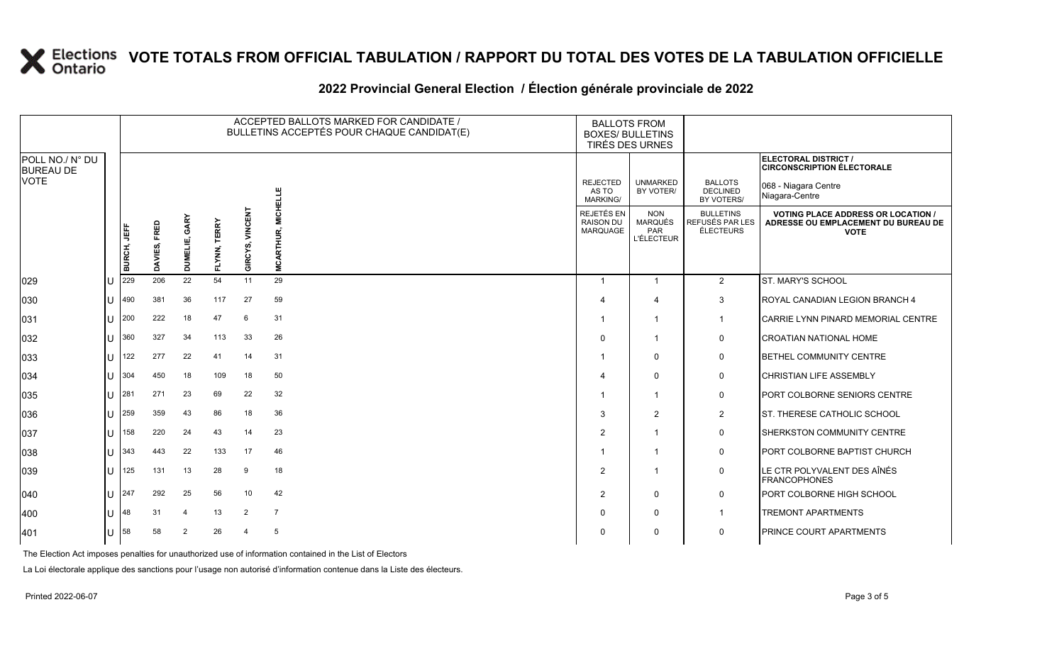### **2022 Provincial General Election / Élection générale provinciale de 2022**

|                                     |              |                    |              |                  |              | ACCEPTED BALLOTS MARKED FOR CANDIDATE /<br>BULLETINS ACCEPTÉS POUR CHAQUE CANDIDAT(E) | <b>BALLOTS FROM</b><br><b>BOXES/ BULLETINS</b><br>TIRÉS DES URNES |                                            |                                                          |                                                         |                                                                                                 |
|-------------------------------------|--------------|--------------------|--------------|------------------|--------------|---------------------------------------------------------------------------------------|-------------------------------------------------------------------|--------------------------------------------|----------------------------------------------------------|---------------------------------------------------------|-------------------------------------------------------------------------------------------------|
| POLL NO./ N° DU<br><b>BUREAU DE</b> |              |                    |              |                  |              |                                                                                       |                                                                   |                                            |                                                          |                                                         | ELECTORAL DISTRICT /<br><b>CIRCONSCRIPTION ÉLECTORALE</b>                                       |
| <b>VOTE</b>                         |              |                    |              |                  |              |                                                                                       |                                                                   | <b>REJECTED</b><br>AS TO<br>MARKING/       | <b>UNMARKED</b><br>BY VOTER/                             | <b>BALLOTS</b><br><b>DECLINED</b><br>BY VOTERS/         | 068 - Niagara Centre<br>Niagara-Centre                                                          |
|                                     |              | <b>BURCH, JEFF</b> | DAVIES, FRED | GARY<br>DUMELIE, | FLYNN, TERRY | <b>VINCENT</b><br>GIRCYS,                                                             | <b>MICHELLE</b><br><b>MCARTHUR,</b>                               | REJETÉS EN<br><b>RAISON DU</b><br>MARQUAGE | <b>NON</b><br><b>MARQUÉS</b><br>PAR<br><b>L'ÉLECTEUR</b> | <b>BULLETINS</b><br>REFUSÉS PAR LES<br><b>ÉLECTEURS</b> | <b>VOTING PLACE ADDRESS OR LOCATION /</b><br>ADRESSE OU EMPLACEMENT DU BUREAU DE<br><b>VOTE</b> |
| 029                                 | U            | 229                | 206          | 22               | 54           | 11                                                                                    | 29                                                                | $\overline{1}$                             | $\overline{1}$                                           | $\overline{2}$                                          | ST. MARY'S SCHOOL                                                                               |
| 030                                 | U            | 490                | 381          | 36               | 117          | 27                                                                                    | 59                                                                |                                            | $\boldsymbol{\Delta}$                                    | 3                                                       | ROYAL CANADIAN LEGION BRANCH 4                                                                  |
| 031                                 | lU           | 200                | 222          | 18               | 47           | 6                                                                                     | 31                                                                |                                            | $\mathbf{1}$                                             | -1                                                      | <b>CARRIE LYNN PINARD MEMORIAL CENTRE</b>                                                       |
| 032                                 | $\mathbf{U}$ | 360                | 327          | 34               | 113          | 33                                                                                    | 26                                                                | $\Omega$                                   | $\overline{\mathbf{1}}$                                  | 0                                                       | CROATIAN NATIONAL HOME                                                                          |
| 033                                 | U            | 122                | 277          | 22               | 41           | 14                                                                                    | 31                                                                |                                            | $\mathbf 0$                                              | $\mathsf{O}$                                            | <b>BETHEL COMMUNITY CENTRE</b>                                                                  |
| 034                                 | lU           | 304                | 450          | 18               | 109          | 18                                                                                    | 50                                                                |                                            | $\mathbf 0$                                              | $\mathbf 0$                                             | <b>CHRISTIAN LIFE ASSEMBLY</b>                                                                  |
| 035                                 |              | $11 \,  281$       | 271          | 23               | 69           | 22                                                                                    | 32                                                                |                                            | $\overline{1}$                                           | 0                                                       | <b>PORT COLBORNE SENIORS CENTRE</b>                                                             |
| 036                                 | U            | 259                | 359          | 43               | 86           | 18                                                                                    | 36                                                                | 3                                          | $\overline{2}$                                           | $\overline{2}$                                          | ST. THERESE CATHOLIC SCHOOL                                                                     |
| 037                                 | U            | 158                | 220          | 24               | 43           | 14                                                                                    | 23                                                                | $\overline{2}$                             | $\mathbf{1}$                                             | 0                                                       | SHERKSTON COMMUNITY CENTRE                                                                      |
| 038                                 | lU           | $343$              | 443          | 22               | 133          | 17                                                                                    | 46                                                                |                                            | $\mathbf{1}$                                             | $\mathsf{O}$                                            | <b>PORT COLBORNE BAPTIST CHURCH</b>                                                             |
| 039                                 | U            | 125                | 131          | 13               | 28           | 9                                                                                     | 18                                                                | $\overline{2}$                             | $\overline{\mathbf{1}}$                                  | $\mathbf 0$                                             | LE CTR POLYVALENT DES AÎNÉS<br><b>FRANCOPHONES</b>                                              |
| 040                                 | U            | 247                | 292          | 25               | 56           | 10                                                                                    | 42                                                                | $\overline{2}$                             | $\mathbf 0$                                              | $\mathsf{O}$                                            | PORT COLBORNE HIGH SCHOOL                                                                       |
| 400                                 | U            | 48                 | 31           | $\overline{4}$   | 13           | $\overline{2}$                                                                        | $\overline{7}$                                                    | $\Omega$                                   | $\mathbf 0$                                              |                                                         | <b>TREMONT APARTMENTS</b>                                                                       |
| 401                                 | $ U $ 58     |                    | 58           | 2                | 26           | $\overline{4}$                                                                        | 5                                                                 | $\Omega$                                   | $\mathbf 0$                                              | $\mathbf 0$                                             | <b>PRINCE COURT APARTMENTS</b>                                                                  |

The Election Act imposes penalties for unauthorized use of information contained in the List of Electors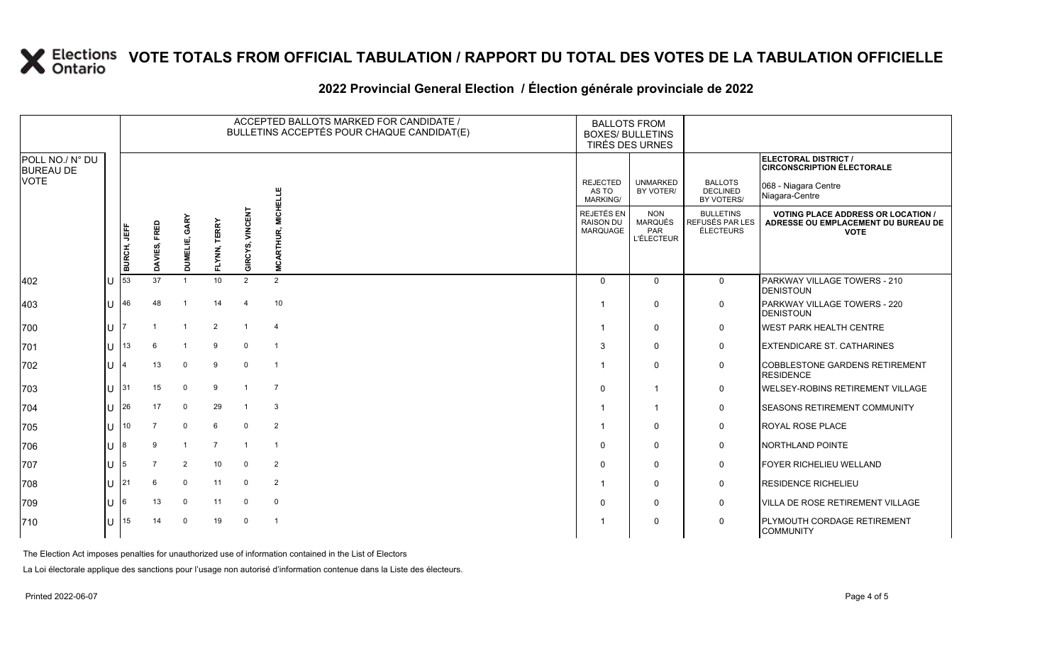### **2022 Provincial General Election / Élection générale provinciale de 2022**

|                                     |  |             |                |                  |                        |                           | ACCEPTED BALLOTS MARKED FOR CANDIDATE /<br>BULLETINS ACCEPTÉS POUR CHAQUE CANDIDAT(E) | <b>BALLOTS FROM</b><br><b>BOXES/ BULLETINS</b><br>TIRÉS DES URNES |                                                          |                                                         |                                                                                                 |
|-------------------------------------|--|-------------|----------------|------------------|------------------------|---------------------------|---------------------------------------------------------------------------------------|-------------------------------------------------------------------|----------------------------------------------------------|---------------------------------------------------------|-------------------------------------------------------------------------------------------------|
| POLL NO./ N° DU<br><b>BUREAU DE</b> |  |             |                |                  |                        |                           |                                                                                       |                                                                   |                                                          |                                                         | ELECTORAL DISTRICT /<br><b>CIRCONSCRIPTION ÉLECTORALE</b>                                       |
| VOTE                                |  |             |                |                  |                        |                           | <b>MICHELLE</b>                                                                       | <b>REJECTED</b><br>AS TO<br>MARKING/                              | <b>UNMARKED</b><br>BY VOTER/                             | <b>BALLOTS</b><br><b>DECLINED</b><br>BY VOTERS/         | 068 - Niagara Centre<br>Niagara-Centre                                                          |
|                                     |  | BURCH, JEFF | DAVIES, FRED   | GARY<br>DUMELIE, | <b>TERRY</b><br>FLYNN, | <b>VINCENT</b><br>GIRCYS, | RTHUR,                                                                                | REJETÉS EN<br><b>RAISON DU</b><br>MARQUAGE                        | <b>NON</b><br><b>MARQUÉS</b><br>PAR<br><b>L'ÉLECTEUR</b> | <b>BULLETINS</b><br>REFUSÉS PAR LES<br><b>ÉLECTEURS</b> | <b>VOTING PLACE ADDRESS OR LOCATION /</b><br>ADRESSE OU EMPLACEMENT DU BUREAU DE<br><b>VOTE</b> |
|                                     |  |             |                |                  |                        |                           | <b>MCAF</b>                                                                           |                                                                   |                                                          |                                                         |                                                                                                 |
| 402                                 |  | 53          | 37             | $\overline{1}$   | 10 <sup>1</sup>        | 2                         | 2                                                                                     | $\Omega$                                                          | $\Omega$                                                 | $\mathbf 0$                                             | PARKWAY VILLAGE TOWERS - 210<br><b>DENISTOUN</b>                                                |
| 403                                 |  | 46          | 48             |                  | 14                     | $\boldsymbol{\Lambda}$    | 10                                                                                    |                                                                   | $\mathbf 0$                                              | 0                                                       | PARKWAY VILLAGE TOWERS - 220<br><b>DENISTOUN</b>                                                |
| 700                                 |  |             |                |                  | $\overline{2}$         |                           | $\overline{4}$                                                                        |                                                                   | $\mathbf 0$                                              | 0                                                       | <b>WEST PARK HEALTH CENTRE</b>                                                                  |
| 701                                 |  | 13          |                | $\overline{1}$   | 9                      | $\mathbf 0$               | $\overline{1}$                                                                        | 3                                                                 | $\Omega$                                                 | $\mathbf 0$                                             | <b>EXTENDICARE ST. CATHARINES</b>                                                               |
| 702                                 |  |             | 13             | $\mathbf 0$      | 9                      | $\mathbf 0$               | $\overline{1}$                                                                        |                                                                   | $\mathbf 0$                                              | 0                                                       | <b>COBBLESTONE GARDENS RETIREMENT</b><br><b>RESIDENCE</b>                                       |
| 703                                 |  | 31          | 15             | $\mathbf 0$      | 9                      | $\mathbf{1}$              | $\overline{7}$                                                                        | $\Omega$                                                          | $\overline{1}$                                           | 0                                                       | <b>WELSEY-ROBINS RETIREMENT VILLAGE</b>                                                         |
| 704                                 |  | 26          | 17             | $\mathbf 0$      | 29                     |                           | 3                                                                                     |                                                                   | $\overline{1}$                                           | $\mathbf 0$                                             | <b>SEASONS RETIREMENT COMMUNITY</b>                                                             |
| 705                                 |  | 10          | $\overline{7}$ | $\mathbf 0$      | 6                      | $\Omega$                  | 2                                                                                     |                                                                   | $\mathbf 0$                                              | 0                                                       | <b>ROYAL ROSE PLACE</b>                                                                         |
| 706                                 |  |             | 9              | -1               | $\overline{7}$         | $\overline{1}$            | $\overline{1}$                                                                        | $\Omega$                                                          | $\mathbf 0$                                              | 0                                                       | NORTHLAND POINTE                                                                                |
| 707                                 |  | 5           |                | $\overline{2}$   | 10 <sup>1</sup>        | $\mathbf 0$               | 2                                                                                     | $\Omega$                                                          | $\mathbf 0$                                              | $\mathbf 0$                                             | FOYER RICHELIEU WELLAND                                                                         |
| 708                                 |  | 21          | 6              | $\mathbf 0$      | 11                     | $\Omega$                  | 2                                                                                     |                                                                   | $\mathbf 0$                                              | 0                                                       | <b>RESIDENCE RICHELIEU</b>                                                                      |
| 709                                 |  | 6           | 13             | $\mathbf{0}$     | 11                     | $\mathbf 0$               | $\mathbf 0$                                                                           | $\Omega$                                                          | $\mathbf 0$                                              | 0                                                       | <b>VILLA DE ROSE RETIREMENT VILLAGE</b>                                                         |
| 710                                 |  | 15          | 14             | $\Omega$         | 19                     | $\Omega$                  | $\overline{1}$                                                                        |                                                                   | $\mathbf 0$                                              | $\mathbf 0$                                             | <b>PLYMOUTH CORDAGE RETIREMENT</b><br><b>COMMUNITY</b>                                          |

The Election Act imposes penalties for unauthorized use of information contained in the List of Electors